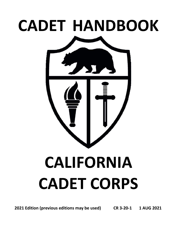# **CADET HANDBOOK**



# **CALIFORNIA CADET CORPS**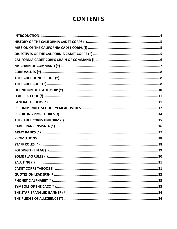### **CONTENTS**

| . 21 |
|------|
|      |
|      |
|      |
|      |
|      |
|      |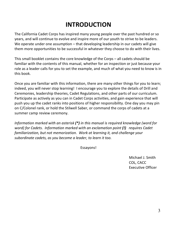### **INTRODUCTION**

The California Cadet Corps has inspired many young people over the past hundred or so years, and will continue to evolve and inspire more of our youth to strive to be leaders. We operate under one assumption – that developing leadership in our cadets will give them more opportunities to be successful in whatever they choose to do with their lives.

This small booklet contains the core knowledge of the Corps – all cadets should be familiar with the contents of this manual, whether for an inspection or just because your role as a leader calls for you to set the example, and much of what you need to know is in this book.

Once you are familiar with this information, there are many other things for you to learn; indeed, you will never stop learning! I encourage you to explore the details of Drill and Ceremonies, leadership theories, Cadet Regulations, and other parts of our curriculum. Participate as actively as you can in Cadet Corps activities, and gain experience that will push you up the cadet ranks into positions of higher responsibility. One day you may pin on C/Colonel rank, or hold the Stilwell Saber, or command the corps of cadets at a summer camp review ceremony.

*Information marked with an asterisk (\*) in this manual is required knowledge (word for word) for Cadets. Information marked with an exclamation point (!) requires Cadet familiarization, but not memorization. Work at learning it, and challenge your subordinate cadets, as you become a leader, to learn it too.* 

Essayons!

Michael J. Smith COL, CACC Executive Officer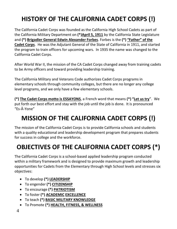### **HISTORY OF THE CALIFORNIA CADET CORPS (!)**

The California Cadet Corps was founded as the California High School Cadets as part of the California Military Department on **(\*)April 5, 1911** by the California State Legislature and **(\*) Brigadier General Edwin Alexander Forbes**. Forbes is the **(\*) "Father" of the Cadet Corps**. He was the Adjutant General of the State of California in 1911, and started the program to train officers for upcoming wars. In 1935 the name was changed to the California Cadet Corps.

After World War II, the mission of the CA Cadet Corps changed away from training cadets to be Army officers and toward providing leadership training.

The California Military and Veterans Code authorizes Cadet Corps programs in elementary schools through community colleges, but there are no longer any college level programs, and we only have a few elementary schools.

**(\*) The Cadet Corps motto is ESSAYONS**, a French word that means **(\*) "Let us try**". We put forth our best effort and stay with the job until the job is done. It is pronounced "Es-Ā-Yone"

### **MISSION OF THE CALIFORNIA CADET CORPS (!)**

The mission of the California Cadet Corps is to provide California schools and students with a quality educational and leadership development program that prepares students for success in college and the workforce.

### **OBJECTIVES OF THE CALIFORNIA CADET CORPS (\*)**

The California Cadet Corps is a school-based applied leadership program conducted within a military framework and is designed to provide maximum growth and leadership opportunities for Cadets from the Elementary through High School levels and stresses six objectives:

- To develop **(\*) LEADERSHIP**
- To engender **(\*) CITIZENSHIP**
- To encourage **(\*) PATRIOTISM**
- To foster **(\*) ACADEMIC EXCELLENCE**
- To teach **(\*) BASIC MILITARY KNOWLEDGE**
- To Promote **(\*) HEALTH, FITNESS, & WELLNESS**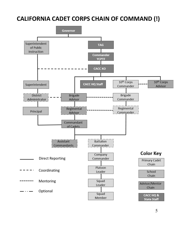### **CALIFORNIA CADET CORPS CHAIN OF COMMAND (!)**

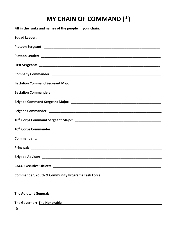### MY CHAIN OF COMMAND (\*)

| Fill in the ranks and names of the people in your chain:                                                                                                                                                                       |
|--------------------------------------------------------------------------------------------------------------------------------------------------------------------------------------------------------------------------------|
|                                                                                                                                                                                                                                |
|                                                                                                                                                                                                                                |
|                                                                                                                                                                                                                                |
|                                                                                                                                                                                                                                |
|                                                                                                                                                                                                                                |
|                                                                                                                                                                                                                                |
|                                                                                                                                                                                                                                |
|                                                                                                                                                                                                                                |
|                                                                                                                                                                                                                                |
|                                                                                                                                                                                                                                |
|                                                                                                                                                                                                                                |
|                                                                                                                                                                                                                                |
|                                                                                                                                                                                                                                |
| <b>Brigade Advisor:</b>                                                                                                                                                                                                        |
|                                                                                                                                                                                                                                |
| <b>Commander, Youth &amp; Community Programs Task Force:</b>                                                                                                                                                                   |
| <u> 1989 - Johann Stoff, deutscher Stoff, der Stoff, der Stoff, der Stoff, der Stoff, der Stoff, der Stoff, der S</u>                                                                                                          |
| The Governor: The Honorable Manual Communication of the Honorable Manual Communication of the Honorable Communication of the Government Communication of the Government Communication of the Government Communication of the G |
| 6                                                                                                                                                                                                                              |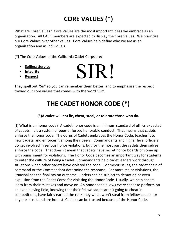### **CORE VALUES (\*)**

What are Core Values? Core Values are the most important ideas we embrace as an organization. All CACC members are expected to display the Core Values. We prioritize our Core Values over other values. Core Values help define who we are as an organization and as individuals.

**(\*)** The Core Values of the California Cadet Corps are:

- **Selfless Service**
- **Integrity**
- **Respect**



They spell out "Sir" so you can remember them better, and to emphasize the respect toward our core values that comes with the word "Sir".

### **THE CADET HONOR CODE (\*)**

#### **(\*)A cadet will not lie, cheat, steal, or tolerate those who do.**

(!) What is an honor code? A cadet honor code is a minimum standard of ethics expected of cadets. It is a system of peer-enforced honorable conduct. That means that cadets enforce the honor code. The Corps of Cadets embraces the Honor Code, teaches it to new cadets, and enforces it among their peers. Commandants and higher level officials do get involved in serious honor violations, but for the most part the cadets themselves enforce the code. That doesn't mean that cadets have secret honor boards or come up with punishment for violations. The Honor Code becomes an important way for students to enter the culture of being a Cadet. Commandants help cadet leaders work through situations when other cadets have violated the code. For minor issues, the cadet chain of command or the Commandant determine the response. For more major violations, the Principal has the final say on outcome. Cadets can be subject to demotion or even expulsion from the Cadet Corps for violating the Honor Code. Usually, we help cadets learn from their mistakes and move on. An honor code allows every cadet to perform on an even playing field, knowing that their fellow cadets aren't going to cheat in competitions, have fairly earned the rank they wear, won't steal from fellow cadets (or anyone else!), and are honest. Cadets can be trusted because of the Honor Code.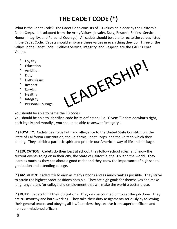### **THE CADET CODE (\*)**

What is the Cadet Code? The Cadet Code consists of 10 values held dear by the California Cadet Corps. It is adapted from the Army Values (Loyalty, Duty, Respect, Selfless Service, Honor, Integrity, and Personal Courage). All cadets should be able to recite the values listed in the Cadet Code. Cadets should embrace these values in everything they do. Three of the values in the Cadet Code – Selfless Service, Integrity, and Respect, are the CACC's Core Values.

- \* Loyalty
- **Education**
- \* Ambition
- \* Duty
- \* Enthusiasm
- **Respect**
- \* Service
- \* Healthy
- \* Integrity
- Personal Courage

You should be able to name the 10 codes.

You should be able to identify a code by its definition: i.e. Given: "Cadets do what's right, both legally and morally", you should be able to answer "Integrity".

**(\*) LOYALTY**: Cadets bear true faith and allegiance to the United State Constitution, the State of California Constitution, the California Cadet Corps, and the units to which they belong. They exhibit a patriotic spirit and pride in our American way of life and heritage.

**(\*) EDUCATION**: Cadets do their best at school, they follow school rules, and know the current events going on in their city, the State of California, the U.S. and the world. They learn as much as they can about a good cadet and they know the importance of high school graduation and attending college.

**(\*) AMBITION**: Cadets try to earn as many ribbons and as much rank as possible. They strive to attain the highest cadet positions possible. They set high goals for themselves and make long-range plans for college and employment that will make the world a better place.

**(\*) DUTY**: Cadets fulfill their obligations. They can be counted on to get the job done. They are trustworthy and hard-working. They take their duty assignments seriously by following their general orders and obeying all lawful orders they receive from superior officers and non-commissioned officers.

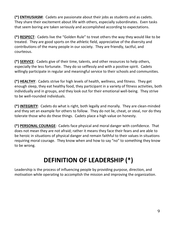**(\*) ENTHUSIASM**: Cadets are passionate about their jobs as students and as cadets. They share their excitement about life with others, especially subordinates. Even tasks that seem boring are taken seriously and accomplished according to expectations.

**(\*) RESPECT**: Cadets live the "Golden Rule" to treat others the way they would like to be treated. They are good sports on the athletic field, appreciative of the diversity and contributions of the many people in our society. They are friendly, tactful, and courteous.

**(\*) SERVICE**: Cadets give of their time, talents, and other resources to help others, especially the less fortunate. They do so selflessly and with a positive spirit. Cadets willingly participate in regular and meaningful service to their schools and communities.

**(\*) HEALTHY**: Cadets strive for high levels of health, wellness, and fitness. They get enough sleep, they eat healthy food, they participant in a variety of fitness activities, both individually and in groups, and they look out for their emotional well-being. They strive to be well-rounded individuals.

**(\*) INTEGRITY**: Cadets do what is right, both legally and morally. They are clean-minded and they set an example for others to follow. They do not lie, cheat, or steal, nor do they tolerate those who do these things. Cadets place a high value on honesty.

**(\*) PERSONAL COURAGE**: Cadets face physical and moral danger with confidence. That does not mean they are not afraid; rather it means they face their fears and are able to be heroic in situations of physical danger and remain faithful to their values in situations requiring moral courage. They know when and how to say "no" to something they know to be wrong.

### **DEFINITION OF LEADERSHIP (\*)**

Leadership is the process of influencing people by providing purpose, direction, and motivation while operating to accomplish the mission and improving the organization.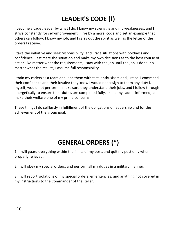### **LEADER'S CODE (!)**

I become a cadet leader by what I do. I know my strengths and my weaknesses, and I strive constantly for self-improvement. I live by a moral code and set an example that others can follow. I know my job, and I carry out the spirit as well as the letter of the orders I receive.

I take the initiative and seek responsibility, and I face situations with boldness and confidence. I estimate the situation and make my own decisions as to the best course of action. No matter what the requirements, I stay with the job until the job is done; no matter what the results, I assume full responsibility.

I train my cadets as a team and lead them with tact, enthusiasm and justice. I command their confidence and their loyalty: they know I would not assign to them any duty I, myself, would not perform. I make sure they understand their jobs, and I follow through energetically to ensure their duties are completed fully. I keep my cadets informed, and I make their welfare one of my prime concerns.

These things I do selflessly in fulfillment of the obligations of leadership and for the achievement of the group goal.

### **GENERAL ORDERS (\*)**

1. I will guard everything within the limits of my post, and quit my post only when properly relieved.

2. I will obey my special orders, and perform all my duties in a military manner.

3. I will report violations of my special orders, emergencies, and anything not covered in my instructions to the Commander of the Relief.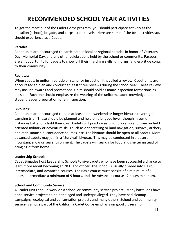### **RECOMMENDED SCHOOL YEAR ACTIVITIES**

To get the most out of the Cadet Corps program, you should participate actively at the battalion (school), brigade, and corps (state) levels. Here are some of the best activities you should experience as a Cadet:

#### **Parades**:

Cadet units are encouraged to participate in local or regional parades in honor of Veterans Day, Memorial Day, and any other celebrations held by the school or community. Parades are an opportunity for cadets to show off their marching skills, uniforms, and esprit de corps to their community.

#### **Reviews**:

When cadets in uniform parade or stand for inspection it is called a review. Cadet units are encouraged to plan and conduct at least three reviews during the school year. These reviews may include awards and promotions. Units should hold as many inspection formations as possible. Each one should emphasize the wearing of the uniform, cadet knowledge, and student leader preparation for an inspection.

#### **Bivouacs**:

Cadet units are encouraged to hold at least a one weekend or longer bivouac (overnight camping trip). These should be planned and held on a brigade level, though in some instances battalions hold their own. Cadets will practice setting up a camp and train on field oriented military or adventure skills such as orienteering or land navigation, survival, archery and marksmanship, confidence courses, etc. The bivouac should be open to all cadets. More advanced cadets may join in a "Survival" bivouac. This may be conducted in a desert, mountain, snow or sea environment. The cadets will search for food and shelter instead of bringing it from home.

#### **Leadership Schools**:

Cadet Brigades host Leadership Schools to give cadets who have been successful a chance to learn more about becoming an NCO and officer. The school is usually divided into Basic, Intermediate, and Advanced courses. The Basic course must consist of a minimum of 6 hours, Intermediate a minimum of 9 hours, and the Advanced course 12 hours minimum.

#### **School and Community Service**:

All cadet units should work on a school or community service project. Many battalions have done service projects to help the aged and underprivileged. They have had cleanup campaigns, ecological and conservation projects and many others. School and community service is a huge part of the California Cadet Corps emphasis on good citizenship.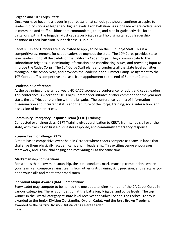#### **Brigade and 10th Corps Staff:**

Once you have become a leader in your battalion at school, you should continue to aspire to leadership positions at higher and higher levels. Each battalion has a brigade where cadets serve in command and staff positions that communicate, train, and plan brigade activities for the battalions within the brigade. Most cadets on brigade staff hold simultaneous leadership positions at their battalion, but each case is unique.

Cadet NCOs and Officers are also invited to apply to be on the  $10<sup>th</sup>$  Corps Staff. This is a competitive assignment for cadet leaders throughout the state. The 10<sup>th</sup> Corps provides state level leadership to all the cadets of the California Cadet Corps. They communicate to the subordinate brigades, disseminating information and coordinating issues, and providing input to improve the Cadet Corps. The  $10<sup>th</sup>$  Corps Staff plans and conducts all the state level activities throughout the school year, and provides the leadership for Summer Camp. Assignment to the 10<sup>th</sup> Corps staff is competitive and lasts from appointment to the end of Summer Camp.

#### **Leadership Conference:**

At the beginning of the school year, HQ CACC sponsors a conference for adult and cadet leaders. This conference is where the 10<sup>th</sup> Corps Commander initiates his/her command for the year and starts the staff/leader planning with the brigades. The conference is a mix of information dissemination about current status and the future of the Corps, training, social interaction, and discussion of best practices.

#### **Community Emergency Response Team (CERT) Training:**

Conducted over three days, CERT Training gives certification to CERTs from schools all over the state, with training on first aid, disaster response, and community emergency response.

#### **Xtreme Team Challenge (XTC):**

A team based competitive event held in October where cadets compete as teams in lanes that challenge them physically, academically, and in leadership. This exciting venue encourages teamwork, and is fun, challenging and motivating all at the same time.

#### **Marksmanship Competitions:**

For schools that allow marksmanship, the state conducts marksmanship competitions where your team can compete against teams from other units, gaining skill, precision, and safety as you hone your skills and meet other marksmen.

#### **Individual Major Awards (IMA) Competition:**

Every cadet may compete to be named the most outstanding member of the CA Cadet Corps in various categories. There is competition at the battalion, brigade, and corps levels. The top winner in the Overall category at state level receives the Stilwell Saber. The Forbes Trophy is awarded to the Junior Division Outstanding Overall Cadet. And the Jerry Brown Trophy is awarded to the Grizzly Division Outstanding Overall Cadet.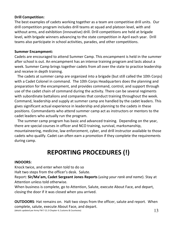#### **Drill Competition:**

The best examples of cadets working together as a team are competitive drill units. Our drill competition program includes drill teams at squad and platoon level, with and without arms, and exhibition (innovative) drill. Drill competitions are held at brigade level, with brigade winners advancing to the state competition in April each year. Drill teams also participate in school activities, parades, and other competitions.

#### **Summer Encampment:**

Cadets are encouraged to attend Summer Camp. This encampment is held in the summer after school is out. An encampment has an intense training program and lasts about a week. Summer Camp brings together cadets from all over the state to practice leadership and receive in depth training.

The cadets at summer camp are organized into a brigade (but still called the 10th Corps) with a Cadet Colonel in command. The 10th Corps Headquarters does the planning and preparation for the encampment, and provides command, control, and support through use of the cadet chain of command during the activity. There can be several regiments with subordinate battalions and companies that conduct training throughout the week. Command, leadership and supply at summer camp are handled by the cadet leaders. This gives significant actual experience in leadership and planning to the cadets in these positions. Commandants who attend summer camp act as instructors or mentors to the cadet leaders who actually run the program.

The summer camp program has basic and advanced training. Depending on the year, there are special courses in officer and NCO training, survival, marksmanship, mountaineering, medicine, law enforcement, cyber, and drill instructor available to those cadets who qualify. Cadet can often earn a promotion if they complete the requirements during camp.

### **REPORTING PROCEDURES (!)**

#### **INDOORS:**

Knock twice, and enter when told to do so

Halt two steps from the officer's desk. Salute.

Report: **Sir/Ma'am, Cadet Sergeant Jones Reports** (*using your rank and name*). Stay at Attention unless told otherwise.

When business is complete, go to Attention, Salute, execute About Face, and depart, closing the door if it was closed when you arrived.

**OUTDOORS**: Hat remains on. Halt two steps from the officer, salute and report. When complete, salute, execute About Face, and depart.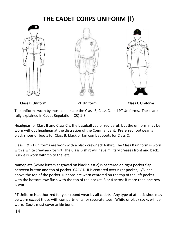### **THE CADET CORPS UNIFORM (!)**







 **Class B Uniform PT Uniform Class C Uniform**

The uniforms worn by most cadets are the Class B, Class C, and PT Uniforms. These are fully explained in Cadet Regulation (CR) 1-8.

Headgear for Class B and Class C is the baseball cap or red beret, but the uniform may be worn without headgear at the discretion of the Commandant. Preferred footwear is black shoes or boots for Class B, black or tan combat boots for Class C.

Class C & PT uniforms are worn with a black crewneck t-shirt. The Class B uniform is worn with a white crewneck t-shirt. The Class B shirt will have military creases front and back. Buckle is worn with tip to the left.

Nameplate (white letters engraved on black plastic) is centered on right pocket flap between button and top of pocket. CACC DUI is centered over right pocket, 1/8 inch above the top of the pocket. Ribbons are worn centered on the top of the left pocket with the bottom row flush with the top of the pocket, 3 or 4 across if more than one row is worn.

PT Uniform is authorized for year-round wear by all cadets. Any type of athletic shoe may be worn except those with compartments for separate toes. White or black socks will be worn. Socks must cover ankle bone.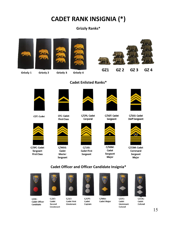#### **CADET RANK INSIGNIA (\*)**

#### **Grizzly Ranks\***





 $C/OC$ : **Cadet Officer** Candidate



 $C/2LT$ Cadet Second Lieutenant

 $C/1LT$ : **Cadet First** Lieutenant



C/CPT: Cadet Captain



C/MAJ:

**Cadet Major** 



 $C/$ LTC: Cadet Lieutenant Colonel



 $C/COL:$ Cadet Colonel

15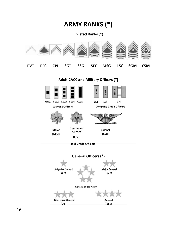### **ARMY RANKS (\*)**

**Enlisted Ranks (\*)**

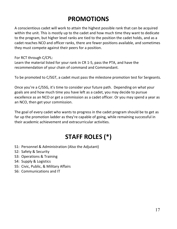### **PROMOTIONS**

A conscientious cadet will work to attain the highest possible rank that can be acquired within the unit. This is mostly up to the cadet and how much time they want to dedicate to the program, but higher level ranks are tied to the position the cadet holds, and as a cadet reaches NCO and officer ranks, there are fewer positions available, and sometimes they must compete against their peers for a position.

#### For RCT through C/CPL:

Learn the material listed for your rank in CR 1-5, pass the PTA, and have the recommendation of your chain of command and Commandant.

To be promoted to C/SGT, a cadet must pass the milestone promotion test for Sergeants.

Once you're a C/SSG, it's time to consider your future path. Depending on what your goals are and how much time you have left as a cadet, you may decide to pursue excellence as an NCO or get a commission as a cadet officer. Or you may spend a year as an NCO, then get your commission.

The goal of every cadet who wants to progress in the cadet program should be to get as far up the promotion ladder as they're capable of going, while remaining successful in their academic achievement and extracurricular activities.

### **STAFF ROLES (\*)**

- S1: Personnel & Administration (Also the Adjutant)
- S2: Safety & Security
- S3: Operations & Training
- S4: Supply & Logistics
- S5: Civic, Public, & Military Affairs
- S6: Communications and IT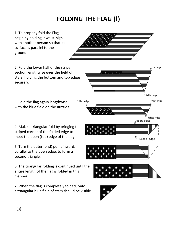### **FOLDING THE FLAG (!)**

1. To properly fold the Flag, begin by holding it waist-high with another person so that its surface is parallel to the ground.

2. Fold the lower half of the stripe section lengthwise **over** the field of stars, holding the bottom and top edges securely.

3. Fold the flag **again** lengthwise with the blue field on the **outside**.

4. Make a triangular fold by bringing the striped corner of the folded edge to meet the open (top) edge of the flag.

5. Turn the outer (end) point inward, parallel to the open edge, to form a second triangle.

6. The triangular folding is continued until the entire length of the flag is folded in this manner.

7. When the flag is completely folded, only a triangular blue field of stars should be visible.



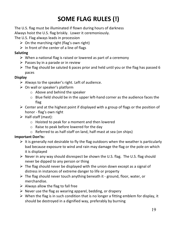### **SOME FLAG RULES (!)**

The U.S. flag must be illuminated if flown during hours of darkness

Always hoist the U.S. flag briskly. Lower it ceremoniously.

The U.S. Flag always leads in procession

- $\triangleright$  On the marching right (flag's own right)
- $\triangleright$  In front of the center of a line of flags

#### **Saluting**

- $\triangleright$  When a national flag is raised or lowered as part of a ceremony
- $\triangleright$  Passes by in a parade or in review
- $\triangleright$  The flag should be saluted 6 paces prior and held until you or the flag has passed 6 paces

#### **Display**

- $\triangleright$  Always to the speaker's right. Left of audience.
- $\triangleright$  On wall or speaker's platform
	- o Above and behind the speaker
	- o Blue field should be in the upper left-hand corner as the audience faces the flag
- $\triangleright$  Center and at the highest point if displayed with a group of flags or the position of honor - flag's own right
- $\triangleright$  Half-staff (mast):
	- o Hoisted to peak for a moment and then lowered
	- o Raise to peak before lowered for the day
	- o Referred to as half-staff on land, half-mast at sea (on ships)

#### **Important Don'ts:**

- $\triangleright$  It is generally not desirable to fly the flag outdoors when the weather is particularly bad because exposure to wind and rain may damage the flag or the pole on which it is displayed
- $\triangleright$  Never in any way should disrespect be shown the U.S. flag. The U.S. flag should never be dipped to any person or thing
- $\triangleright$  The flag should never be displayed with the union down except as a signal of distress in instances of extreme danger to life or property
- $\triangleright$  The flag should never touch anything beneath it ground, floor, water, or merchandise.
- $\triangleright$  Always allow the flag to fall free
- $\triangleright$  Never use the flag as wearing apparel, bedding, or drapery
- $\triangleright$  When the flag is in such condition that is no longer a fitting emblem for display, it should be destroyed in a dignified way, preferably by burning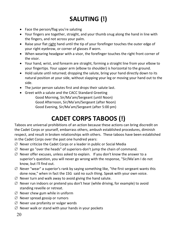### **SALUTING (!)**

- Face the person/flag you're saluting
- Your fingers are together, straight, and your thumb snug along the hand in line with the fingers, and not across your palm.
- Raise your flat right hand until the tip of your forefinger touches the outer edge of your right eyebrow, or corner of glasses if worn.
- When wearing headgear with a visor, the forefinger touches the right front corner of the visor.
- Your hand, wrist, and forearm are straight, forming a straight line from your elbow to your fingertips. Your upper arm (elbow to shoulder) is horizontal to the ground.
- Hold salute until returned; dropping the salute, bring your hand directly down to its natural position at your side, without slapping your leg or moving your hand out to the side.
- The junior person salutes first and drops their salute last.
- Greet with a salute and the CACC Standard Greeting Good Morning, Sir/Ma'am/Sergeant (until Noon) Good Afternoon, Sir/Ma'am/Sergeant (after Noon) Good Evening, Sir/Ma'am/Sergeant (after 5:00 pm)

### **CADET CORPS TABOOS (!)**

Taboos are universal prohibitions of an action because these actions can bring discredit on the Cadet Corps or yourself, embarrass others, ambush established procedures, diminish respect, and result in broken relationships with others. These taboos have been established in the Cadet Corps over the past one hundred years:

- $\varnothing$  Never criticize the Cadet Corps or a leader in public or Social Media
- $\varnothing$  Never go "over the heads" of superiors-don't jump the chain of command.
- $\varnothing$  Never offer excuses, unless asked to explain. If you don't know the answer to a superior's question, you will never go wrong with the response, "Sir/Ma'am I do not know, but I'll find out.
- $\varnothing$  Never "wear" a superior's rank by saying something like, "the first sergeant wants this done now," when in fact the 1SG said no such thing. Speak with your own voice.
- $\varnothing$  Never turn and walk away to avoid giving the hand salute.
- $\varnothing$  Never run indoors or pretend you don't hear (while driving, for example) to avoid standing reveille or retreat.
- $\varnothing$  Never chew gum while in uniform
- $\varnothing$  Never spread gossip or rumors
- $\varnothing$  Never use profanity or vulgar words
- $\varnothing$  Never walk or stand with your hands in your pockets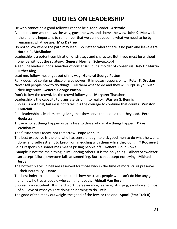### **QUOTES ON LEADERSHIP**

He who cannot be a good follower cannot be a good leader. **Aristotle**

A leader is one who knows the way, goes the way, and shows the way. **John C. Maxwell**.

In the end it is important to remember that we cannot become what we need to be by

remaining what we are. **Max DePree**

Do not follow where the path may lead. Go instead where there is no path and leave a trail. **Harold R. McAlindon**

Leadership is a potent combination of strategy and character. But if you must be without one, be without the strategy. **General Norman Schwarzkopf**

A genuine leader is not a searcher of consensus, but a molder of consensus. **Rev Dr Martin Luther King**

#### Lead me, follow me, or get out of my way. **General George Patton**

Rank does not confer privilege or give power. It imposes responsibility. **Peter F. Drucker** Never tell people how to do things. Tell them what to do and they will surprise you with

#### their ingenuity. **General George Patton**

Don't follow the crowd, let the crowd follow you. **Margaret Thatcher**

Leadership is the capacity to translate vision into reality. **Warren G. Bennis**

Success is not final, failure is not fatal: it is the courage to continue that counts. **Winston Churchill**

Real leadership is leaders recognizing that they serve the people that they lead. **Pete** 

#### **Hoekstra**

Those who let things happen usually lose to those who make things happen. **Dave** 

#### **Weinbaum**

The future starts today, not tomorrow. **Pope John Paul II**

The best executive is the one who has sense enough to pick good men to do what he wants done, and self-restraint to keep from meddling with them while they do it. **T Roosevelt**

Being responsible sometimes means pissing people off. **General Colin Powell** 

Example is not the main thing in influencing others. It is the only thing. **Albert Schweitzer** I can accept failure, everyone fails at something. But I can't accept not trying. **Michael** 

#### **Jordan**

The hottest places in hell are reserved for those who in the time of moral crisis preserve their neutrality. **Dante**

- The best index to a person's character is how he treats people who can't do him any good, and how he treats people who can't fight back. **Abigail Van Buren**
- Success is no accident. It is hard work, perseverance, learning, studying, sacrifice and most of all, love of what you are doing or learning to do. **Pele**

The good of the many outweighs the good of the few, or the one. **Spock (Star Trek II)**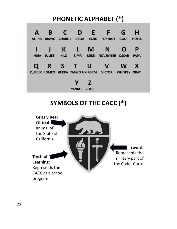**PHONETIC ALPHABET (\*)**



#### **SYMBOLS OF THE CACC (\*)**

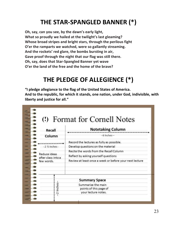### **THE STAR-SPANGLED BANNER (\*)**

**Oh, say, can you see, by the dawn's early light, What so proudly we hailed at the twilight's last gleaming? Whose broad stripes and bright stars, through the perilous fight O'er the ramparts we watched, were so gallantly streaming. And the rockets' red glare, the bombs bursting in air, Gave proof through the night that our flag was still there. Oh, say, does that Star-Spangled Banner yet wave O'er the land of the free and the home of the brave?**

### **THE PLEDGE OF ALLEGIENCE (\*)**

**"I pledge allegiance to the flag of the United States of America. And to the republic, for which it stands, one nation, under God, indivisible, with liberty and justice for all."**

| -6 Inches-<br>Record the lectures as fully as possible.<br>Develop questions on the material<br>Recite the words from the Recall Column |
|-----------------------------------------------------------------------------------------------------------------------------------------|
|                                                                                                                                         |
| Reflect by asking yourself questions<br>Review at least once a week or before your next lecture                                         |
| <b>Summary Space</b>                                                                                                                    |
| Summarize the main<br>points of this page of                                                                                            |
|                                                                                                                                         |